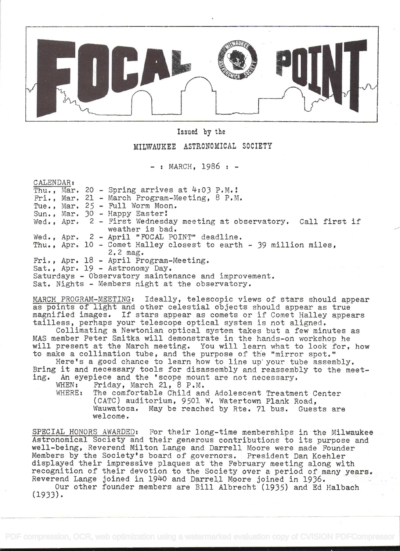

Issued by the

## MILWAUKEE ASTRONOMICAL SOCIETY

 $-$ : MARCH. 1986 :  $-$ 

CALENDAR s

|  |  | Thu., Mar. 20 - Spring arrives at $4:03$ P.M.!                         |
|--|--|------------------------------------------------------------------------|
|  |  | Fri., Mar. 21 - March Program-Meeting, $8$ P.M.                        |
|  |  | Tue., Mar. $25$ - Full Worm Moon.                                      |
|  |  | Sun., Mar. 30 - Happy Easter!                                          |
|  |  | Wed., Apr. $2$ - First Wednesday meeting at observatory. Call first if |
|  |  | weather is bad.                                                        |
|  |  | Wed., Apr. 2 - April "FOCAL POINT" deadline.                           |
|  |  | Thu., Apr. 10 - Comet Halley closest to earth - 39 million miles,      |
|  |  | $2.2$ mag.                                                             |
|  |  | Fri., Apr. 18 - April Program-Meeting.                                 |
|  |  | Sat., Apr. 19 - Astronomy Day.                                         |
|  |  | Saturdays - Observatory maintenance and improvement.                   |
|  |  | Sat. Nights - Members night at the observatory.                        |

MARCH PROGRAM-MEETING: Ideally, telescopic views of stars should appear as points of light and other celestial objects should appear as true magnified images. If stars appear as comets or if Comet Halley appears tailless, perhaps your telescope optical system is not aligned.

Collimating a Newtonian optical system takes but a few minutes as MAS member Peter Smitka will demonstrate in the hands-on workshop he will present at the March meeting. You will learn what to look for, how to make a collimation tube, and the purpose of the "mirror spot."

Here's a good chance to learn how to line up your tube assembly. Bring it and necessary tools for disassembly and reassembly to the meet-<br>ing. An eyepiece and the 'scope mount are not necessary. An eyepiece and the 'scope mount are not necessary.<br>WHEN: Friday. March 21. 8 P.M.

Friday, March 21, 8 P.M.

WHERE: The comfortable Child and Adolescent Treatment Center (CATC) auditorium, 9501 W. Watertown Plank Road, Wauwatosa. May be reached by Rte. 71 bus. Guests are welcome.

SPECIAL HONORS AWARDED: For their long-time memberships in the Milwaukee Astronomical Society and their generous contributions to its purpose and well-being, Reverend Milton Lange and Darrell Moore were made Founder Members by the Society's board of governors. President Dan Koehier displayed their impressive plaques at the February meeting along with recognition of their devotion to the Society over a period of many years. Reverend Lange joined in 1940 and Darrell Moore joined in 1936.

Our other founder members are Bill Albrecht (1935) and Ed Halbach (1933).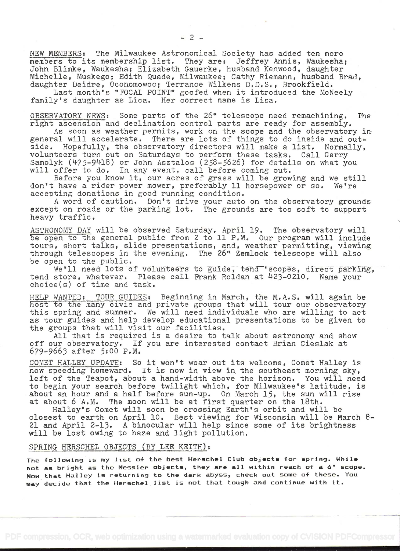NEW MEMBERS: The Milwaukee Astronomical Society has added ten more members to its membership list. They are: Jeffrey Annis, Waukesha; John Blimke, Waukesha; Elizabeth Gauerke, husband Kenwood, daughter Michelle, Muskego; Edith Quade, Milwaukee; Cathy Riemann, husband Brad, daughter Deidre, Oconomowoc; Terrance Wilkens D.D.S., Brookfield.

Last month's "FOCAL POINT" goofed when it introduced the McNeely family's daughter as Lica. Her correct name is Lisa.

OBSERVATORY NEWS: Some parts of the 26" telescope need remachining. The right ascension and declination control parts are ready for assembly.

As soon as weather permits, work on the scope and the observatory in general will accelerate. There are lots of things to do inside and outside. Hopefully, the observatory directors will make a list, Normally, volunteers turn out on Saturdays to perform these tasks. Call Gerry Samolyk  $(475-9418)$  or John Asztalos  $(258-5626)$  for details on what you will offer to do. In any event, call before coming out.

Before you know it, our acres of grass will be growing and we still don't have a rider power mower, preferably 11 horsepower or so, We're accepting donations in good running condition.

A word of caution. Don't drive your auto on the observatory grounds except on roads or the parking lot. The grounds are too soft to support heavy traffic.

ASTRONOMY DAY will be observed Saturday, April 19. The observatory will be open to the general public from 2 to li P.M. Our program will include tours, short talks, slide presentations, and, weather permitting, viewing through telescopes in the evening. The 26" Zemlock telescope will also be open to the public.

We'll need lots of volunteers to guide, tend 'scopes, direct parking, tend store, whatever. Please call Frank Roldan at 423-0210. Name your choice(s) of time and task.

HELP WANTED: TOUR GUIDES: Beginning in March, the M.A.S. will again be host to the many civic and private groups that will tour our observatory this spring and summer. We will need individuals who are willing to act as tour guides and help develop educational presentations to be given to the groups that will visit our facilities.

All that is required is a desire to talk about astronomy and show off our observatory. If you are interested contact Brian Cieslak at 679-9663 after 5:OO P.M.

COMET HALLEY UPDATE: So it won't wear out its welcome, Comet Halley is now speeding homeward. It is now in view in. the southeast morning sky, left of the Teapot, about a hand-width above the horizon. You will need to begin your search before twilight which, for Milwaukee's latitude, is about an hour and a half before sun-up. On March  $15$ , the sun will rise at about  $6$  A.M. The moon will be at first quarter on the  $18th$ . The moon will be at first quarter on the 18th.

Halley's Comet will soon be crossing Earth's orbit and will be closest to earth on April lO. Best viewing for Wisconsin will be March 8- 21 and April 2-13. A binocular will help since some of its brightness will be lost owing to haze and light pollution.

# SPRING HERSCHEL OBJECTS (BY LEE KEITH):

The following is my list of the best Herschel Club objects for spring. While not as bright as the Messier objects, they are all within reach of a 6" scope. Now that Halley is returnin9 to the dark abyss, check out some of these. You maydecide that the Herschel list is not that tou9h and continue with it.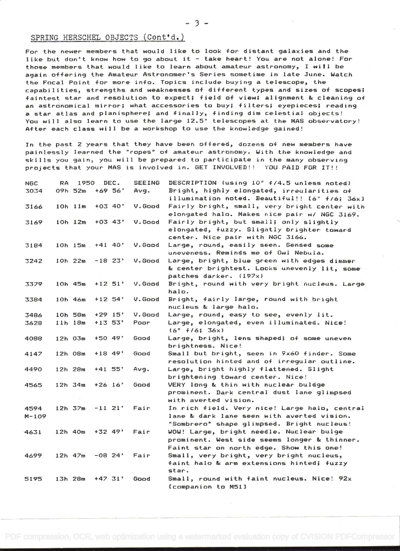### SPRING HERSCHEL OBJECTS (Cont'd.)

For the newer members that would like to look for distant galaxies and the like but don't know how to go about it - take heart! You are not alone! For those members that would like to learn about amateur astronomy, I will be again offering the Amateur Astronomer's Series sometime in late June. Watch the Focal Point for more info. Topics include buying a telescope, the capabilities, strengths and weaknesses of different types and sizes of scopes;<br>faintest star and resolution to expect; field of view; alignment & cleaning of an astronomical mirror; what accessories to buy; filters; eyepieces; reading a star atlas and planisphere; and finally, finding dim celestial objects! You will also learn to use the large 12.5" telescopes at the MAS observatory!<br>After each class will be a workshop to use the knowledge gained!

In the past 2 years that they have been offered, dozens of new members have painlessly learned the "ropes" of amateur astronomy. With the knowledge and<br>skills you gain, you will be prepared to participate in the many observing<br>projects that your MAS is involved in. GET INVOLVED!! YOU PAID FOR IT!!

| NGC.      | RA. | 1950                    |             | DEC.      | <b>SEEING</b> | DESCRIPTION (using 10" +/4.5 unless noted)    |
|-----------|-----|-------------------------|-------------|-----------|---------------|-----------------------------------------------|
| 3034      |     | 09h 52m                 |             | $+69.56'$ | Avg.          | Bright, highly elongated, irreularities of    |
|           |     |                         |             |           |               | illumination noted. Beautiful!! [6" f/6; 36x] |
| 3166      |     | $10h$ $11m$             | $+03$ 40'   |           | V.Good        | Fairly bright, small, very bright center with |
|           |     |                         |             |           |               | elongated halo. Makes nice pair w/ NGC 3169.  |
| 3169      |     | $10h$ 12m +03 43'       |             |           | V.Good        | Fairly bright, but small; only slightly       |
|           |     |                         |             |           |               | elongated, fuzzy. Slightly brighter toward    |
|           |     |                         |             |           |               | center. Nice pair with NGC 3166.              |
| 3184      |     | $10h$ $15m$ $+41$ $40'$ |             |           | V.Good        | Large, round, easily seen. Sensed some        |
|           |     |                         |             |           |               | uneveness. Reminds me of Owl Nebula.          |
| 3242      |     | $10h$ $22m$             | $-18$ $23'$ |           | V.Good        | Large, bright, blue green with edges dimmer   |
|           |     |                         |             |           |               | & center brightest. Looks unevenly lit, some  |
|           |     |                         |             |           |               | patches darker. (197x)                        |
| 3379      |     | $10h$ 45m $+12$ 51'     |             |           | V.Good        | Bright, round with very bright nucleus. Large |
|           |     |                         |             |           |               | halo.                                         |
| 3384      |     | 10h 46m                 | $+12$ 54'   |           | V. Good       | Bright, fairly large, round with bright       |
|           |     |                         |             |           |               | nucleus & large halo.                         |
| 3486      |     | 10h 58m                 | $+29$ 15'   |           | V. Good       | Large, round, easy to see, evenly lit.        |
| 3628      |     | $11h$ 18m               | $+13.53'$   |           | Poor          | Large, elongated, even illuminated. Nice!     |
|           |     |                         |             |           |               | $(6" + 16; 36x)$                              |
| 4088      |     | $12h$ $03m$             | $+50.49'$   |           | Good          | Large, bright, lens shaped; of some uneven    |
|           |     |                         |             |           |               | brightness. Nice!                             |
| 4147      |     | 12h 08m                 | $+18$ 49'   |           | Good          | Small but bright, seen in 9x60 finder. Some   |
|           |     |                         |             |           |               | resolution hinted and of irregular outline.   |
| 4490      |     | 12h 28m                 | $+41$ 55'   |           | Avg.          | Large, bright highly flattened. Slight        |
|           |     |                         |             |           |               | brightening toward center. Nice!              |
| 4565      |     | 12h 34m                 | $+26$ 16'   |           | Good          | VERY long & thin with nuclear buldge          |
|           |     |                         |             |           |               | prominent. Dark central dust lane glimpsed    |
|           |     |                         |             |           |               | with averted vision.                          |
| 4594      |     | $12h$ $37m$             | $-11$ 21'   |           | Fair          | In rich field. Very nice! Large halo, central |
| $M - 109$ |     |                         |             |           |               | lane & dark lane seen with averted vision.    |
|           |     |                         |             |           |               | "Sombrero" shape glimpsed. Bright nucleus!    |
| 4631      |     | $12h$ 40m               | $+32$ 49'   |           | Fair          | WOW! Large, bright needle. Nuclear bulge      |
|           |     |                         |             |           |               | prominent. West side seems longer & thinner.  |
|           |     |                         |             |           |               | Faint star on north edge. Show this one!      |
| 4699      |     | $12h$ 47m               | $-08$ 24'   |           | Fair          | Small, very bright, very bright nucleus,      |
|           |     |                         |             |           |               | faint halo & arm extensions hinted; fuzzy     |
|           |     |                         |             |           |               | star.                                         |
| 5195      |     | 13h 28m                 | $+47.31'$   |           | Good          | Small, round with faint nucleus. Nice! 92x    |
|           |     |                         |             |           |               | [companion to M51]                            |